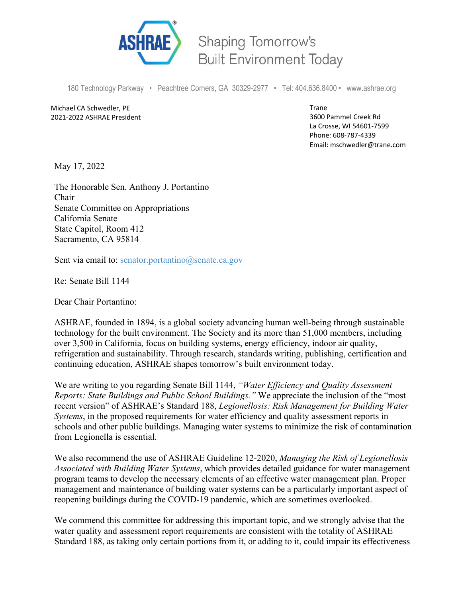

Shaping Tomorrow's **Built Environment Today** 

180 Technology Parkway • Peachtree Corners, GA 30329-2977 • Tel: 404.636.8400 • www.ashrae.org

Michael CA Schwedler, PE 2021-2022 ASHRAE President Trane 3600 Pammel Creek Rd La Crosse, WI 54601-7599 Phone: 608-787-4339 Email: mschwedler@trane.com

May 17, 2022

The Honorable Sen. Anthony J. Portantino Chair Senate Committee on Appropriations California Senate State Capitol, Room 412 Sacramento, CA 95814

Sent via email to: [senator.portantino@senate.ca.gov](mailto:senator.portantino@senate.ca.gov)

Re: Senate Bill 1144

Dear Chair Portantino:

ASHRAE, founded in 1894, is a global society advancing human well-being through sustainable technology for the built environment. The Society and its more than 51,000 members, including over 3,500 in California, focus on building systems, energy efficiency, indoor air quality, refrigeration and sustainability. Through research, standards writing, publishing, certification and continuing education, ASHRAE shapes tomorrow's built environment today.

We are writing to you regarding Senate Bill 1144, *"Water Efficiency and Quality Assessment Reports: State Buildings and Public School Buildings."* We appreciate the inclusion of the "most recent version" of ASHRAE's Standard 188, *Legionellosis: Risk Management for Building Water Systems*, in the proposed requirements for water efficiency and quality assessment reports in schools and other public buildings. Managing water systems to minimize the risk of contamination from Legionella is essential.

We also recommend the use of ASHRAE Guideline 12-2020, *Managing the Risk of Legionellosis Associated with Building Water Systems*, which provides detailed guidance for water management program teams to develop the necessary elements of an effective water management plan. Proper management and maintenance of building water systems can be a particularly important aspect of reopening buildings during the COVID-19 pandemic, which are sometimes overlooked.

We commend this committee for addressing this important topic, and we strongly advise that the water quality and assessment report requirements are consistent with the totality of ASHRAE Standard 188, as taking only certain portions from it, or adding to it, could impair its effectiveness